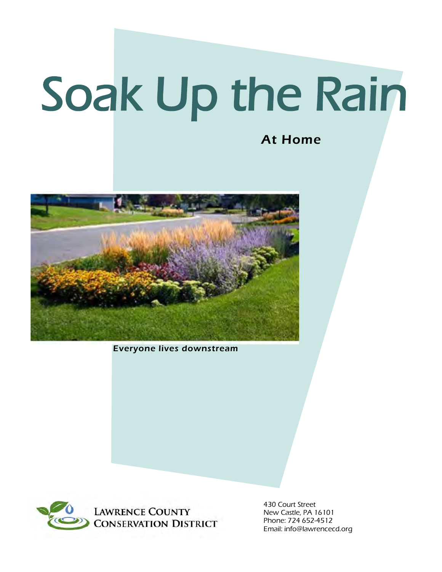# Soak Up the Rain

#### At Home



Everyone lives downstream



430 Court Street New Castle, PA 16101 Phone: 724 652-4512 Email: info@lawrencecd.org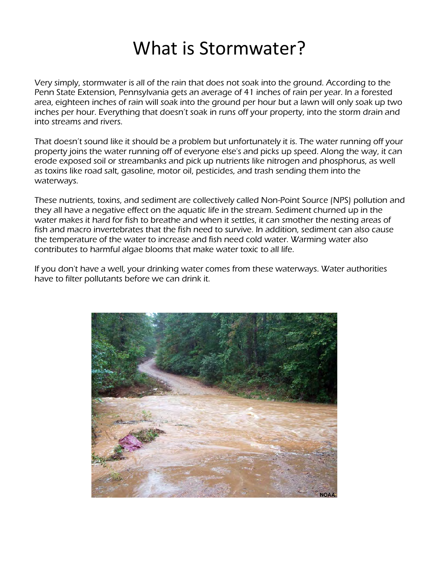# What is Stormwater?

Very simply, stormwater is all of the rain that does not soak into the ground. According to the Penn State Extension, Pennsylvania gets an average of 41 inches of rain per year. In a forested area, eighteen inches of rain will soak into the ground per hour but a lawn will only soak up two inches per hour. Everything that doesn't soak in runs off your property, into the storm drain and into streams and rivers.

That doesn't sound like it should be a problem but unfortunately it is. The water running off your property joins the water running off of everyone else's and picks up speed. Along the way, it can erode exposed soil or streambanks and pick up nutrients like nitrogen and phosphorus, as well as toxins like road salt, gasoline, motor oil, pesticides, and trash sending them into the waterways.

These nutrients, toxins, and sediment are collectively called Non-Point Source (NPS) pollution and they all have a negative effect on the aquatic life in the stream. Sediment churned up in the water makes it hard for fish to breathe and when it settles, it can smother the nesting areas of fish and macro invertebrates that the fish need to survive. In addition, sediment can also cause the temperature of the water to increase and fish need cold water. Warming water also contributes to harmful algae blooms that make water toxic to all life.

If you don't have a well, your drinking water comes from these waterways. Water authorities have to filter pollutants before we can drink it.

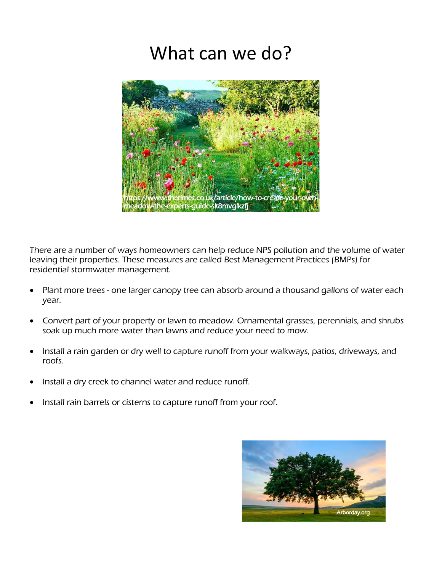# What can we do?



There are a number of ways homeowners can help reduce NPS pollution and the volume of water leaving their properties. These measures are called Best Management Practices (BMPs) for residential stormwater management.

- Plant more trees one larger canopy tree can absorb around a thousand gallons of water each year.
- Convert part of your property or lawn to meadow. Ornamental grasses, perennials, and shrubs soak up much more water than lawns and reduce your need to mow.
- Install a rain garden or dry well to capture runoff from your walkways, patios, driveways, and roofs.
- Install a dry creek to channel water and reduce runoff.
- Install rain barrels or cisterns to capture runoff from your roof.

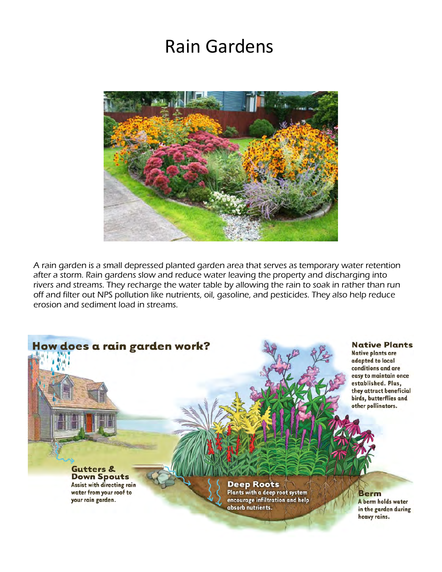# Rain Gardens



A rain garden is a small depressed planted garden area that serves as temporary water retention after a storm. Rain gardens slow and reduce water leaving the property and discharging into rivers and streams. They recharge the water table by allowing the rain to soak in rather than run off and filter out NPS pollution like nutrients, oil, gasoline, and pesticides. They also help reduce erosion and sediment load in streams.

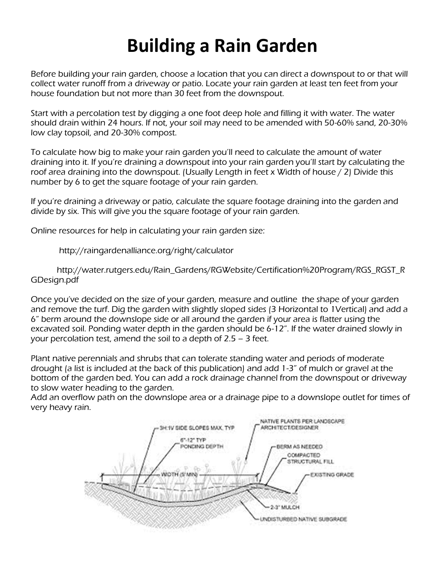# **Building a Rain Garden**

Before building your rain garden, choose a location that you can direct a downspout to or that will collect water runoff from a driveway or patio. Locate your rain garden at least ten feet from your house foundation but not more than 30 feet from the downspout.

Start with a percolation test by digging a one foot deep hole and filling it with water. The water should drain within 24 hours. If not, your soil may need to be amended with 50-60% sand, 20-30% low clay topsoil, and 20-30% compost.

To calculate how big to make your rain garden you'll need to calculate the amount of water draining into it. If you're draining a downspout into your rain garden you'll start by calculating the roof area draining into the downspout. (Usually Length in feet x Width of house / 2) Divide this number by 6 to get the square footage of your rain garden.

If you're draining a driveway or patio, calculate the square footage draining into the garden and divide by six. This will give you the square footage of your rain garden.

Online resources for help in calculating your rain garden size:

http://raingardenalliance.org/right/calculator

http://water.rutgers.edu/Rain\_Gardens/RGWebsite/Certification%20Program/RGS\_RGST\_R GDesign.pdf

Once you've decided on the size of your garden, measure and outline the shape of your garden and remove the turf. Dig the garden with slightly sloped sides (3 Horizontal to 1Vertical) and add a 6" berm around the downslope side or all around the garden if your area is flatter using the excavated soil. Ponding water depth in the garden should be 6-12". If the water drained slowly in your percolation test, amend the soil to a depth of 2.5 – 3 feet.

Plant native perennials and shrubs that can tolerate standing water and periods of moderate drought (a list is included at the back of this publication) and add 1-3" of mulch or gravel at the bottom of the garden bed. You can add a rock drainage channel from the downspout or driveway to slow water heading to the garden.

Add an overflow path on the downslope area or a drainage pipe to a downslope outlet for times of very heavy rain.

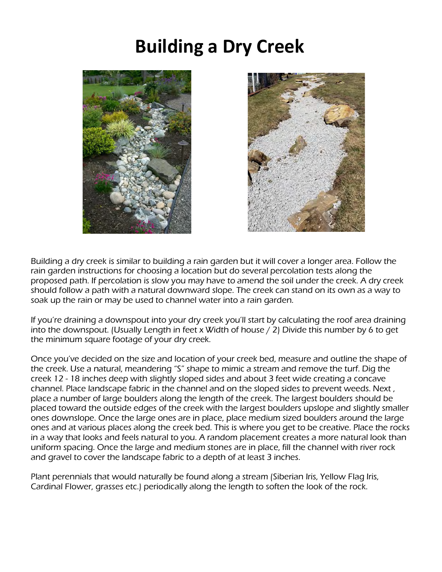## **Building a Dry Creek**





Building a dry creek is similar to building a rain garden but it will cover a longer area. Follow the rain garden instructions for choosing a location but do several percolation tests along the proposed path. If percolation is slow you may have to amend the soil under the creek. A dry creek should follow a path with a natural downward slope. The creek can stand on its own as a way to soak up the rain or may be used to channel water into a rain garden.

If you're draining a downspout into your dry creek you'll start by calculating the roof area draining into the downspout. (Usually Length in feet x Width of house / 2) Divide this number by 6 to get the minimum square footage of your dry creek.

Once you've decided on the size and location of your creek bed, measure and outline the shape of the creek. Use a natural, meandering "S" shape to mimic a stream and remove the turf. Dig the creek 12 - 18 inches deep with slightly sloped sides and about 3 feet wide creating a concave channel. Place landscape fabric in the channel and on the sloped sides to prevent weeds. Next , place a number of large boulders along the length of the creek. The largest boulders should be placed toward the outside edges of the creek with the largest boulders upslope and slightly smaller ones downslope. Once the large ones are in place, place medium sized boulders around the large ones and at various places along the creek bed. This is where you get to be creative. Place the rocks in a way that looks and feels natural to you. A random placement creates a more natural look than uniform spacing. Once the large and medium stones are in place, fill the channel with river rock and gravel to cover the landscape fabric to a depth of at least 3 inches.

Plant perennials that would naturally be found along a stream (Siberian Iris, Yellow Flag Iris, Cardinal Flower, grasses etc.) periodically along the length to soften the look of the rock.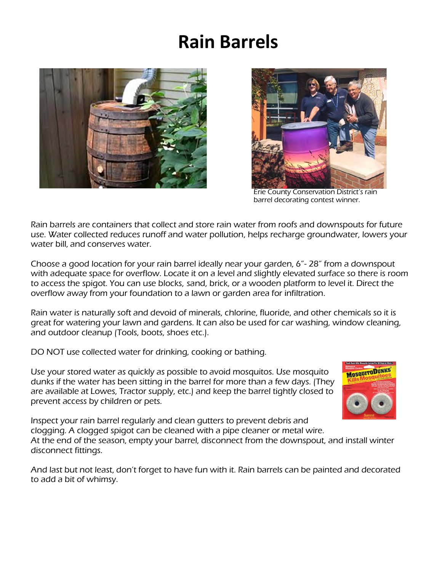# **Rain Barrels**





Erie County Conservation District's rain barrel decorating contest winner.

Rain barrels are containers that collect and store rain water from roofs and downspouts for future use. Water collected reduces runoff and water pollution, helps recharge groundwater, lowers your water bill, and conserves water.

Choose a good location for your rain barrel ideally near your garden, 6"- 28" from a downspout with adequate space for overflow. Locate it on a level and slightly elevated surface so there is room to access the spigot. You can use blocks, sand, brick, or a wooden platform to level it. Direct the overflow away from your foundation to a lawn or garden area for infiltration.

Rain water is naturally soft and devoid of minerals, chlorine, fluoride, and other chemicals so it is great for watering your lawn and gardens. It can also be used for car washing, window cleaning, and outdoor cleanup (Tools, boots, shoes etc.).

DO NOT use collected water for drinking, cooking or bathing.

Use your stored water as quickly as possible to avoid mosquitos. Use mosquito dunks if the water has been sitting in the barrel for more than a few days. (They are available at Lowes, Tractor supply, etc.) and keep the barrel tightly closed to prevent access by children or pets.



Inspect your rain barrel regularly and clean gutters to prevent debris and clogging. A clogged spigot can be cleaned with a pipe cleaner or metal wire. At the end of the season, empty your barrel, disconnect from the downspout, and install winter disconnect fittings.

And last but not least, don't forget to have fun with it. Rain barrels can be painted and decorated to add a bit of whimsy.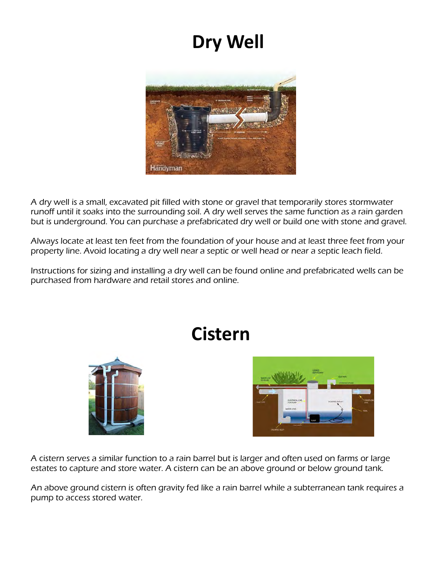# **Dry Well**



A dry well is a small, excavated pit filled with stone or gravel that temporarily stores stormwater runoff until it soaks into the surrounding soil. A dry well serves the same function as a rain garden but is underground. You can purchase a prefabricated dry well or build one with stone and gravel.

Always locate at least ten feet from the foundation of your house and at least three feet from your property line. Avoid locating a dry well near a septic or well head or near a septic leach field.

Instructions for sizing and installing a dry well can be found online and prefabricated wells can be purchased from hardware and retail stores and online.

# **Cistern**





A cistern serves a similar function to a rain barrel but is larger and often used on farms or large estates to capture and store water. A cistern can be an above ground or below ground tank.

An above ground cistern is often gravity fed like a rain barrel while a subterranean tank requires a pump to access stored water.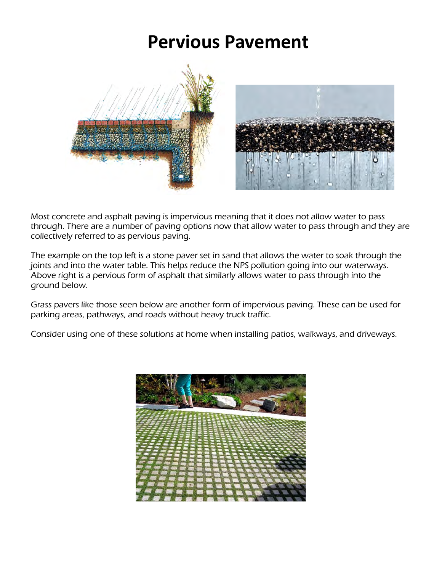## **Pervious Pavement**



Most concrete and asphalt paving is impervious meaning that it does not allow water to pass through. There are a number of paving options now that allow water to pass through and they are collectively referred to as pervious paving.

The example on the top left is a stone paver set in sand that allows the water to soak through the joints and into the water table. This helps reduce the NPS pollution going into our waterways. Above right is a pervious form of asphalt that similarly allows water to pass through into the ground below.

Grass pavers like those seen below are another form of impervious paving. These can be used for parking areas, pathways, and roads without heavy truck traffic.

Consider using one of these solutions at home when installing patios, walkways, and driveways.

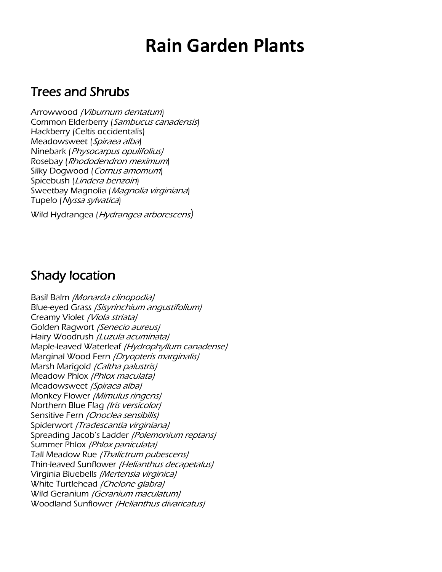## **Rain Garden Plants**

#### Trees and Shrubs

Arrowwood (Viburnum dentatum) Common Elderberry (Sambucus canadensis) Hackberry (Celtis occidentalis) Meadowsweet (Spiraea alba) Ninebark (Physocarpus opulifolius) Rosebay (Rhododendron meximum) Silky Dogwood (Cornus amomum) Spicebush (Lindera benzoin) Sweetbay Magnolia (Magnolia virginiana) Tupelo (Nyssa sylvatica)

Wild Hydrangea (Hydrangea arborescens)

#### Shady location

Basil Balm (Monarda clinopodia) Blue-eyed Grass (Sisyrinchium angustifolium) Creamy Violet (Viola striata) Golden Ragwort (Senecio aureus) Hairy Woodrush *(Luzula acuminata)* Maple-leaved Waterleaf (Hydrophyllum canadense) Marginal Wood Fern (Dryopteris marginalis) Marsh Marigold (Caltha palustris) Meadow Phlox (Phlox maculata) Meadowsweet (Spiraea alba) Monkey Flower (Mimulus ringens) Northern Blue Flag (Iris versicolor) Sensitive Fern (Onoclea sensibilis) Spiderwort (Tradescantia virginiana) Spreading Jacob's Ladder (Polemonium reptans) Summer Phlox (Phlox paniculata) Tall Meadow Rue (Thalictrum pubescens) Thin-leaved Sunflower (Helianthus decapetalus) Virginia Bluebells (Mertensia virginica) White Turtlehead (Chelone glabra) Wild Geranium (Geranium maculatum) Woodland Sunflower (Helianthus divaricatus)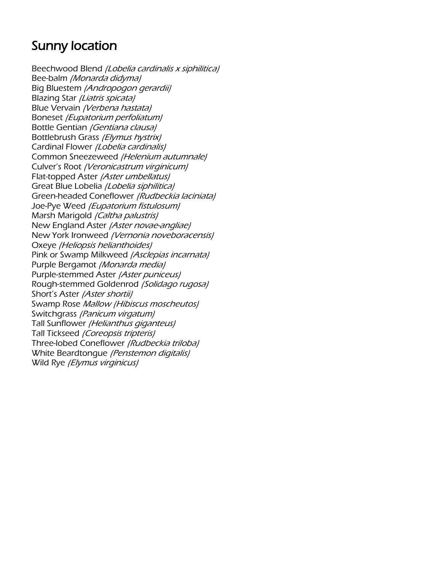### Sunny location

Beechwood Blend (Lobelia cardinalis x siphilitica) Bee-balm (Monarda didyma) Big Bluestem (Andropogon gerardii) Blazing Star (Liatris spicata) Blue Vervain (Verbena hastata) Boneset (Eupatorium perfoliatum) Bottle Gentian (Gentiana clausa) Bottlebrush Grass (Elymus hystrix) Cardinal Flower (Lobelia cardinalis) Common Sneezeweed (Helenium autumnale) Culver's Root (Veronicastrum virginicum) Flat-topped Aster (Aster umbellatus) Great Blue Lobelia (Lobelia siphilitica) Green-headed Coneflower (Rudbeckia laciniata) Joe-Pye Weed (Eupatorium fistulosum) Marsh Marigold (Caltha palustris) New England Aster (Aster novae-angliae) New York Ironweed (Vernonia noveboracensis) Oxeye (Heliopsis helianthoides) Pink or Swamp Milkweed (Asclepias incarnata) Purple Bergamot (Monarda media) Purple-stemmed Aster (Aster puniceus) Rough-stemmed Goldenrod (Solidago rugosa) Short's Aster (Aster shortii) Swamp Rose Mallow (Hibiscus moscheutos) Switchgrass (Panicum virgatum) Tall Sunflower (Helianthus giganteus) Tall Tickseed (Coreopsis tripteris) Three-lobed Coneflower (Rudbeckia triloba) White Beardtongue (Penstemon digitalis) Wild Rye (Elymus virginicus)